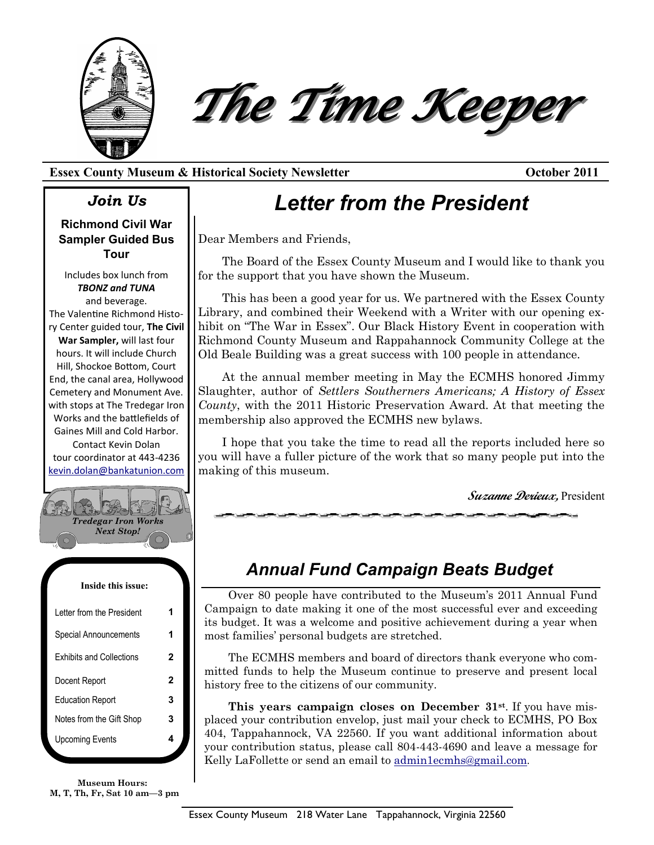



## **Essex County Museum & Historical Society Newsletter October 2011**

## *Join Us*

**Richmond Civil War Sampler Guided Bus Tour**

Includes box lunch from *TBONZ and TUNA* and beverage. The Valentine Richmond History Center guided tour, **The Civil War Sampler,** will last four hours. It will include Church Hill, Shockoe Bottom, Court End, the canal area, Hollywood Cemetery and Monument Ave. with stops at The Tredegar Iron Works and the battlefields of Gaines Mill and Cold Harbor. Contact Kevin Dolan tour coordinator at 443-4236 [kevin.dolan@bankatunion.com](mailto:kevin.dolan@bankatunion.com)



| <b>ODOORITURIORIIOONIO</b>      |   |
|---------------------------------|---|
| <b>Exhibits and Collections</b> | 2 |
| Docent Report                   | 2 |
| <b>Education Report</b>         | 3 |
| Notes from the Gift Shop        | 3 |
| <b>Upcoming Events</b>          |   |
|                                 |   |

**Museum Hours: M, T, Th, Fr, Sat 10 am—3 pm**

# *Letter from the President*

Dear Members and Friends,

The Board of the Essex County Museum and I would like to thank you for the support that you have shown the Museum.

This has been a good year for us. We partnered with the Essex County Library, and combined their Weekend with a Writer with our opening exhibit on "The War in Essex". Our Black History Event in cooperation with Richmond County Museum and Rappahannock Community College at the Old Beale Building was a great success with 100 people in attendance.

At the annual member meeting in May the ECMHS honored Jimmy Slaughter, author of *Settlers Southerners Americans; A History of Essex County*, with the 2011 Historic Preservation Award. At that meeting the membership also approved the ECMHS new bylaws.

I hope that you take the time to read all the reports included here so you will have a fuller picture of the work that so many people put into the making of this museum.

**Suzanne Derieux,** President

# *Annual Fund Campaign Beats Budget*

Over 80 people have contributed to the Museum's 2011 Annual Fund Campaign to date making it one of the most successful ever and exceeding its budget. It was a welcome and positive achievement during a year when most families' personal budgets are stretched.

The ECMHS members and board of directors thank everyone who committed funds to help the Museum continue to preserve and present local history free to the citizens of our community.

**This years campaign closes on December 31st**. If you have misplaced your contribution envelop, just mail your check to ECMHS, PO Box 404, Tappahannock, VA 22560. If you want additional information about your contribution status, please call 804-443-4690 and leave a message for Kelly LaFollette or send an email to [admin1ecmhs@gmail.com](mailto:admin1ecmhs@gmail.com).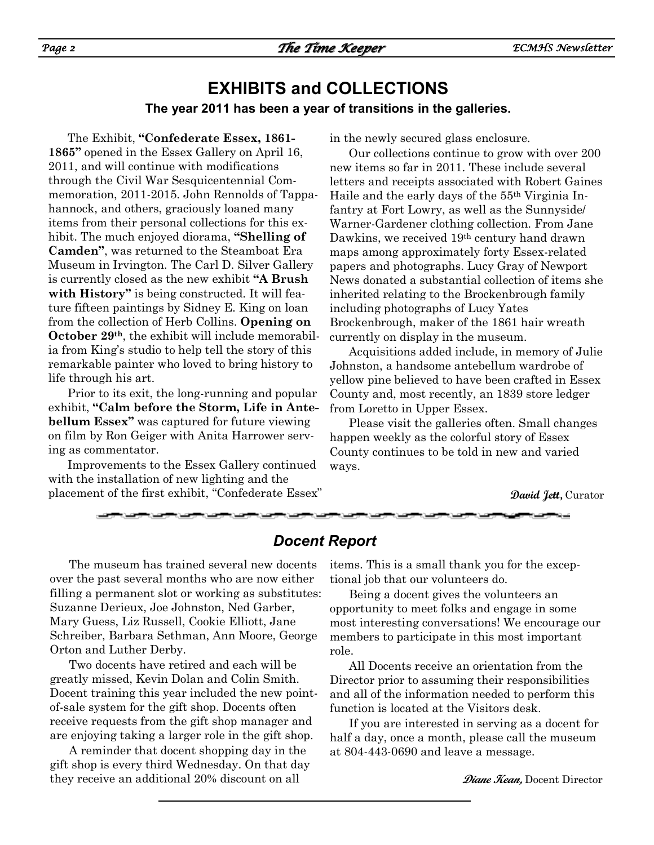## **EXHIBITS and COLLECTIONS The year 2011 has been a year of transitions in the galleries.**

The Exhibit, **"Confederate Essex, 1861- 1865"** opened in the Essex Gallery on April 16, 2011, and will continue with modifications through the Civil War Sesquicentennial Commemoration, 2011-2015. John Rennolds of Tappahannock, and others, graciously loaned many items from their personal collections for this exhibit. The much enjoyed diorama, **"Shelling of Camden"**, was returned to the Steamboat Era Museum in Irvington. The Carl D. Silver Gallery is currently closed as the new exhibit **"A Brush with History"** is being constructed. It will feature fifteen paintings by Sidney E. King on loan from the collection of Herb Collins. **Opening on October 29th**, the exhibit will include memorabilia from King's studio to help tell the story of this remarkable painter who loved to bring history to life through his art.

Prior to its exit, the long-running and popular exhibit, **"Calm before the Storm, Life in Antebellum Essex"** was captured for future viewing on film by Ron Geiger with Anita Harrower serving as commentator.

Improvements to the Essex Gallery continued with the installation of new lighting and the placement of the first exhibit, "Confederate Essex" in the newly secured glass enclosure.

Our collections continue to grow with over 200 new items so far in 2011. These include several letters and receipts associated with Robert Gaines Haile and the early days of the 55th Virginia Infantry at Fort Lowry, as well as the Sunnyside/ Warner-Gardener clothing collection. From Jane Dawkins, we received 19th century hand drawn maps among approximately forty Essex-related papers and photographs. Lucy Gray of Newport News donated a substantial collection of items she inherited relating to the Brockenbrough family including photographs of Lucy Yates Brockenbrough, maker of the 1861 hair wreath currently on display in the museum.

Acquisitions added include, in memory of Julie Johnston, a handsome antebellum wardrobe of yellow pine believed to have been crafted in Essex County and, most recently, an 1839 store ledger from Loretto in Upper Essex.

Please visit the galleries often. Small changes happen weekly as the colorful story of Essex County continues to be told in new and varied ways.

**David Jett,** Curator

#### *Docent Report*

The museum has trained several new docents over the past several months who are now either filling a permanent slot or working as substitutes: Suzanne Derieux, Joe Johnston, Ned Garber, Mary Guess, Liz Russell, Cookie Elliott, Jane Schreiber, Barbara Sethman, Ann Moore, George Orton and Luther Derby.

Two docents have retired and each will be greatly missed, Kevin Dolan and Colin Smith. Docent training this year included the new pointof-sale system for the gift shop. Docents often receive requests from the gift shop manager and are enjoying taking a larger role in the gift shop.

A reminder that docent shopping day in the gift shop is every third Wednesday. On that day they receive an additional 20% discount on all

items. This is a small thank you for the exceptional job that our volunteers do.

Being a docent gives the volunteers an opportunity to meet folks and engage in some most interesting conversations! We encourage our members to participate in this most important role.

All Docents receive an orientation from the Director prior to assuming their responsibilities and all of the information needed to perform this function is located at the Visitors desk.

If you are interested in serving as a docent for half a day, once a month, please call the museum at 804-443-0690 and leave a message.

**Diane Kean,** Docent Director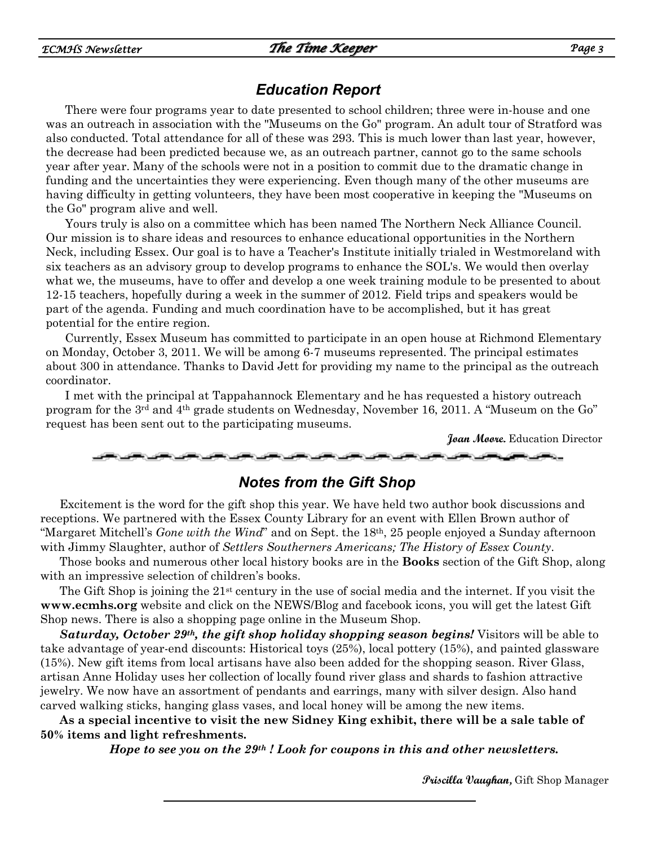## *Education Report*

There were four programs year to date presented to school children; three were in-house and one was an outreach in association with the "Museums on the Go" program. An adult tour of Stratford was also conducted. Total attendance for all of these was 293. This is much lower than last year, however, the decrease had been predicted because we, as an outreach partner, cannot go to the same schools year after year. Many of the schools were not in a position to commit due to the dramatic change in funding and the uncertainties they were experiencing. Even though many of the other museums are having difficulty in getting volunteers, they have been most cooperative in keeping the "Museums on the Go" program alive and well.

Yours truly is also on a committee which has been named The Northern Neck Alliance Council. Our mission is to share ideas and resources to enhance educational opportunities in the Northern Neck, including Essex. Our goal is to have a Teacher's Institute initially trialed in Westmoreland with six teachers as an advisory group to develop programs to enhance the SOL's. We would then overlay what we, the museums, have to offer and develop a one week training module to be presented to about 12-15 teachers, hopefully during a week in the summer of 2012. Field trips and speakers would be part of the agenda. Funding and much coordination have to be accomplished, but it has great potential for the entire region.

Currently, Essex Museum has committed to participate in an open house at Richmond Elementary on Monday, October 3, 2011. We will be among 6-7 museums represented. The principal estimates about 300 in attendance. Thanks to David Jett for providing my name to the principal as the outreach coordinator.

I met with the principal at Tappahannock Elementary and he has requested a history outreach program for the 3rd and 4th grade students on Wednesday, November 16, 2011. A "Museum on the Go" request has been sent out to the participating museums.

**Joan Moore.** Education Director

#### *Notes from the Gift Shop*

Excitement is the word for the gift shop this year. We have held two author book discussions and receptions. We partnered with the Essex County Library for an event with Ellen Brown author of "Margaret Mitchell's *Gone with the Wind*" and on Sept. the 18th, 25 people enjoyed a Sunday afternoon with Jimmy Slaughter, author of *Settlers Southerners Americans; The History of Essex County*.

Those books and numerous other local history books are in the **Books** section of the Gift Shop, along with an impressive selection of children's books.

The Gift Shop is joining the  $21<sup>st</sup>$  century in the use of social media and the internet. If you visit the **www.ecmhs.org** website and click on the NEWS/Blog and facebook icons, you will get the latest Gift Shop news. There is also a shopping page online in the Museum Shop.

*Saturday, October 29th, the gift shop holiday shopping season begins!* Visitors will be able to take advantage of year-end discounts: Historical toys (25%), local pottery (15%), and painted glassware (15%). New gift items from local artisans have also been added for the shopping season. River Glass, artisan Anne Holiday uses her collection of locally found river glass and shards to fashion attractive jewelry. We now have an assortment of pendants and earrings, many with silver design. Also hand carved walking sticks, hanging glass vases, and local honey will be among the new items.

**As a special incentive to visit the new Sidney King exhibit, there will be a sale table of 50% items and light refreshments.**

*Hope to see you on the 29th ! Look for coupons in this and other newsletters.*

**Priscilla Vaughan,** Gift Shop Manager